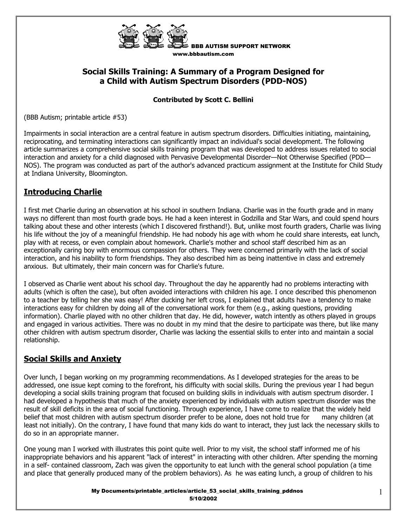

BBB AUTISM SUPPORT NETWORK www.bbbautism.com

# **Social Skills Training: A Summary of a Program Designed for a Child with Autism Spectrum Disorders (PDD-NOS)**

#### **Contributed by Scott C. Bellini**

(BBB Autism; printable article #53)

Impairments in social interaction are a central feature in autism spectrum disorders. Difficulties initiating, maintaining, reciprocating, and terminating interactions can significantly impact an individual's social development. The following article summarizes a comprehensive social skills training program that was developed to address issues related to social interaction and anxiety for a child diagnosed with Pervasive Developmental Disorder—Not Otherwise Specified (PDD— NOS). The program was conducted as part of the author's advanced practicum assignment at the Institute for Child Study at Indiana University, Bloomington.

## **Introducing Charlie**

I first met Charlie during an observation at his school in southern Indiana. Charlie was in the fourth grade and in many ways no different than most fourth grade boys. He had a keen interest in Godzilla and Star Wars, and could spend hours talking about these and other interests (which I discovered firsthand!). But, unlike most fourth graders, Charlie was living his life without the joy of a meaningful friendship. He had nobody his age with whom he could share interests, eat lunch, play with at recess, or even complain about homework. Charlie's mother and school staff described him as an exceptionally caring boy with enormous compassion for others. They were concerned primarily with the lack of social interaction, and his inability to form friendships. They also described him as being inattentive in class and extremely anxious. But ultimately, their main concern was for Charlie's future.

I observed as Charlie went about his school day. Throughout the day he apparently had no problems interacting with adults (which is often the case), but often avoided interactions with children his age. I once described this phenomenon to a teacher by telling her she was easy! After ducking her left cross, I explained that adults have a tendency to make interactions easy for children by doing all of the conversational work for them (e.g., asking questions, providing information). Charlie played with no other children that day. He did, however, watch intently as others played in groups and engaged in various activities. There was no doubt in my mind that the desire to participate was there, but like many other children with autism spectrum disorder, Charlie was lacking the essential skills to enter into and maintain a social relationship.

# **Social Skills and Anxiety**

Over lunch, I began working on my programming recommendations. As I developed strategies for the areas to be addressed, one issue kept coming to the forefront, his difficulty with social skills. During the previous year I had begun developing a social skills training program that focused on building skills in individuals with autism spectrum disorder. I had developed a hypothesis that much of the anxiety experienced by individuals with autism spectrum disorder was the result of skill deficits in the area of social functioning. Through experience, I have come to realize that the widely held belief that most children with autism spectrum disorder prefer to be alone, does not hold true for many children (at least not initially). On the contrary, I have found that many kids do want to interact, they just lack the necessary skills to do so in an appropriate manner.

One young man I worked with illustrates this point quite well. Prior to my visit, the school staff informed me of his inappropriate behaviors and his apparent "lack of interest" in interacting with other children. After spending the morning in a self- contained classroom, Zach was given the opportunity to eat lunch with the general school population (a time and place that generally produced many of the problem behaviors). As he was eating lunch, a group of children to his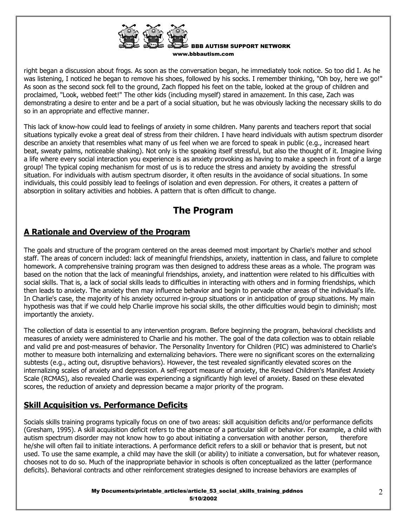

right began a discussion about frogs. As soon as the conversation began, he immediately took notice. So too did I. As he was listening, I noticed he began to remove his shoes, followed by his socks. I remember thinking, "Oh boy, here we go!" As soon as the second sock fell to the ground, Zach flopped his feet on the table, looked at the group of children and proclaimed, "Look, webbed feet!" The other kids (including myself) stared in amazement. In this case, Zach was demonstrating a desire to enter and be a part of a social situation, but he was obviously lacking the necessary skills to do so in an appropriate and effective manner.

This lack of know-how could lead to feelings of anxiety in some children. Many parents and teachers report that social situations typically evoke a great deal of stress from their children. I have heard individuals with autism spectrum disorder describe an anxiety that resembles what many of us feel when we are forced to speak in public (e.g., increased heart beat, sweaty palms, noticeable shaking). Not only is the speaking itself stressful, but also the thought of it. Imagine living a life where every social interaction you experience is as anxiety provoking as having to make a speech in front of a large group! The typical coping mechanism for most of us is to reduce the stress and anxiety by avoiding the stressful situation. For individuals with autism spectrum disorder, it often results in the avoidance of social situations. In some individuals, this could possibly lead to feelings of isolation and even depression. For others, it creates a pattern of absorption in solitary activities and hobbies. A pattern that is often difficult to change.

# **The Program**

# **A Rationale and Overview of the Program**

The goals and structure of the program centered on the areas deemed most important by Charlie's mother and school staff. The areas of concern included: lack of meaningful friendships, anxiety, inattention in class, and failure to complete homework. A comprehensive training program was then designed to address these areas as a whole. The program was based on the notion that the lack of meaningful friendships, anxiety, and inattention were related to his difficulties with social skills. That is, a lack of social skills leads to difficulties in interacting with others and in forming friendships, which then leads to anxiety. The anxiety then may influence behavior and begin to pervade other areas of the individual's life. In Charlie's case, the majority of his anxiety occurred in-group situations or in anticipation of group situations. My main hypothesis was that if we could help Charlie improve his social skills, the other difficulties would begin to diminish; most importantly the anxiety.

The collection of data is essential to any intervention program. Before beginning the program, behavioral checklists and measures of anxiety were administered to Charlie and his mother. The goal of the data collection was to obtain reliable and valid pre and post-measures of behavior. The Personality Inventory for Children (PIC) was administered to Charlie's mother to measure both internalizing and externalizing behaviors. There were no significant scores on the externalizing subtests (e.g., acting out, disruptive behaviors). However, the test revealed significantly elevated scores on the internalizing scales of anxiety and depression. A self-report measure of anxiety, the Revised Children's Manifest Anxiety Scale (RCMAS), also revealed Charlie was experiencing a significantly high level of anxiety. Based on these elevated scores, the reduction of anxiety and depression became a major priority of the program.

# **Skill Acquisition vs. Performance Deficits**

Socials skills training programs typically focus on one of two areas: skill acquisition deficits and/or performance deficits (Gresham, 1995). A skill acquisition deficit refers to the absence of a particular skill or behavior. For example, a child with autism spectrum disorder may not know how to go about initiating a conversation with another person, therefore he/she will often fail to initiate interactions. A performance deficit refers to a skill or behavior that is present, but not used. To use the same example, a child may have the skill (or ability) to initiate a conversation, but for whatever reason, chooses not to do so. Much of the inappropriate behavior in schools is often conceptualized as the latter (performance deficits). Behavioral contracts and other reinforcement strategies designed to increase behaviors are examples of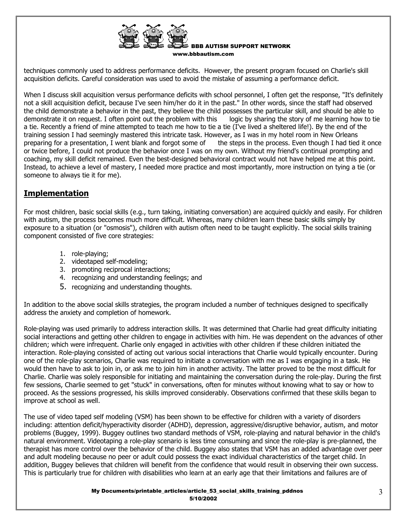

techniques commonly used to address performance deficits. However, the present program focused on Charlie's skill acquisition deficits. Careful consideration was used to avoid the mistake of assuming a performance deficit.

When I discuss skill acquisition versus performance deficits with school personnel, I often get the response, "It's definitely not a skill acquisition deficit, because I've seen him/her do it in the past." In other words, since the staff had observed the child demonstrate a behavior in the past, they believe the child possesses the particular skill, and should be able to demonstrate it on request. I often point out the problem with this logic by sharing the story of me learning how to tie a tie. Recently a friend of mine attempted to teach me how to tie a tie (I've lived a sheltered life!). By the end of the training session I had seemingly mastered this intricate task. However, as I was in my hotel room in New Orleans preparing for a presentation, I went blank and forgot some of the steps in the process. Even though I had tied it once or twice before, I could not produce the behavior once I was on my own. Without my friend's continual prompting and coaching, my skill deficit remained. Even the best-designed behavioral contract would not have helped me at this point. Instead, to achieve a level of mastery, I needed more practice and most importantly, more instruction on tying a tie (or someone to always tie it for me).

#### **Implementation**

For most children, basic social skills (e.g., turn taking, initiating conversation) are acquired quickly and easily. For children with autism, the process becomes much more difficult. Whereas, many children learn these basic skills simply by exposure to a situation (or "osmosis"), children with autism often need to be taught explicitly. The social skills training component consisted of five core strategies:

- 1. role-playing;
- 2. videotaped self-modeling;
- 3. promoting reciprocal interactions;
- 4. recognizing and understanding feelings; and
- 5. recognizing and understanding thoughts.

In addition to the above social skills strategies, the program included a number of techniques designed to specifically address the anxiety and completion of homework.

Role-playing was used primarily to address interaction skills. It was determined that Charlie had great difficulty initiating social interactions and getting other children to engage in activities with him. He was dependent on the advances of other children; which were infrequent. Charlie only engaged in activities with other children if these children initiated the interaction. Role-playing consisted of acting out various social interactions that Charlie would typically encounter. During one of the role-play scenarios, Charlie was required to initiate a conversation with me as I was engaging in a task. He would then have to ask to join in, or ask me to join him in another activity. The latter proved to be the most difficult for Charlie. Charlie was solely responsible for initiating and maintaining the conversation during the role-play. During the first few sessions, Charlie seemed to get "stuck" in conversations, often for minutes without knowing what to say or how to proceed. As the sessions progressed, his skills improved considerably. Observations confirmed that these skills began to improve at school as well.

The use of video taped self modeling (VSM) has been shown to be effective for children with a variety of disorders including: attention deficit/hyperactivity disorder (ADHD), depression, aggressive/disruptive behavior, autism, and motor problems (Buggey, 1999). Buggey outlines two standard methods of VSM, role-playing and natural behavior in the child's natural environment. Videotaping a role-play scenario is less time consuming and since the role-play is pre-planned, the therapist has more control over the behavior of the child. Buggey also states that VSM has an added advantage over peer and adult modeling because no peer or adult could possess the exact individual characteristics of the target child. In addition, Buggey believes that children will benefit from the confidence that would result in observing their own success. This is particularly true for children with disabilities who learn at an early age that their limitations and failures are of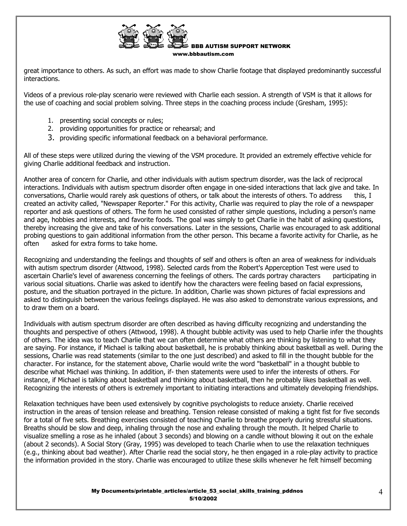

great importance to others. As such, an effort was made to show Charlie footage that displayed predominantly successful interactions.

Videos of a previous role-play scenario were reviewed with Charlie each session. A strength of VSM is that it allows for the use of coaching and social problem solving. Three steps in the coaching process include (Gresham, 1995):

- 1. presenting social concepts or rules;
- 2. providing opportunities for practice or rehearsal; and
- 3. providing specific informational feedback on a behavioral performance.

All of these steps were utilized during the viewing of the VSM procedure. It provided an extremely effective vehicle for giving Charlie additional feedback and instruction.

Another area of concern for Charlie, and other individuals with autism spectrum disorder, was the lack of reciprocal interactions. Individuals with autism spectrum disorder often engage in one-sided interactions that lack give and take. In conversations, Charlie would rarely ask questions of others, or talk about the interests of others. To address this, I created an activity called, "Newspaper Reporter." For this activity, Charlie was required to play the role of a newspaper reporter and ask questions of others. The form he used consisted of rather simple questions, including a person's name and age, hobbies and interests, and favorite foods. The goal was simply to get Charlie in the habit of asking questions, thereby increasing the give and take of his conversations. Later in the sessions, Charlie was encouraged to ask additional probing questions to gain additional information from the other person. This became a favorite activity for Charlie, as he often asked for extra forms to take home.

Recognizing and understanding the feelings and thoughts of self and others is often an area of weakness for individuals with autism spectrum disorder (Attwood, 1998). Selected cards from the Robert's Apperception Test were used to ascertain Charlie's level of awareness concerning the feelings of others. The cards portray characters participating in various social situations. Charlie was asked to identify how the characters were feeling based on facial expressions, posture, and the situation portrayed in the picture. In addition, Charlie was shown pictures of facial expressions and asked to distinguish between the various feelings displayed. He was also asked to demonstrate various expressions, and to draw them on a board.

Individuals with autism spectrum disorder are often described as having difficulty recognizing and understanding the thoughts and perspective of others (Attwood, 1998). A thought bubble activity was used to help Charlie infer the thoughts of others. The idea was to teach Charlie that we can often determine what others are thinking by listening to what they are saying. For instance, if Michael is talking about basketball, he is probably thinking about basketball as well. During the sessions, Charlie was read statements (similar to the one just described) and asked to fill in the thought bubble for the character. For instance, for the statement above, Charlie would write the word "basketball" in a thought bubble to describe what Michael was thinking. In addition, if- then statements were used to infer the interests of others. For instance, if Michael is talking about basketball and thinking about basketball, then he probably likes basketball as well. Recognizing the interests of others is extremely important to initiating interactions and ultimately developing friendships.

Relaxation techniques have been used extensively by cognitive psychologists to reduce anxiety. Charlie received instruction in the areas of tension release and breathing. Tension release consisted of making a tight fist for five seconds for a total of five sets. Breathing exercises consisted of teaching Charlie to breathe properly during stressful situations. Breaths should be slow and deep, inhaling through the nose and exhaling through the mouth. It helped Charlie to visualize smelling a rose as he inhaled (about 3 seconds) and blowing on a candle without blowing it out on the exhale (about 2 seconds). A Social Story (Gray, 1995) was developed to teach Charlie when to use the relaxation techniques (e.g., thinking about bad weather). After Charlie read the social story, he then engaged in a role-play activity to practice the information provided in the story. Charlie was encouraged to utilize these skills whenever he felt himself becoming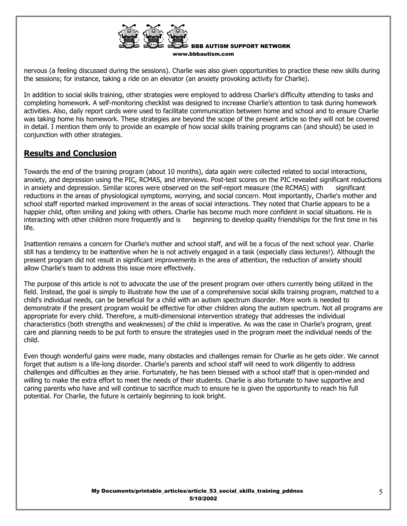

nervous (a feeling discussed during the sessions). Charlie was also given opportunities to practice these new skills during the sessions; for instance, taking a ride on an elevator (an anxiety provoking activity for Charlie).

In addition to social skills training, other strategies were employed to address Charlie's difficulty attending to tasks and completing homework. A self-monitoring checklist was designed to increase Charlie's attention to task during homework activities. Also, daily report cards were used to facilitate communication between home and school and to ensure Charlie was taking home his homework. These strategies are beyond the scope of the present article so they will not be covered in detail. I mention them only to provide an example of how social skills training programs can (and should) be used in conjunction with other strategies.

## **Results and Conclusion**

Towards the end of the training program (about 10 months), data again were collected related to social interactions, anxiety, and depression using the PIC, RCMAS, and interviews. Post-test scores on the PIC revealed significant reductions in anxiety and depression. Similar scores were observed on the self-report measure (the RCMAS) with significant reductions in the areas of physiological symptoms, worrying, and social concern. Most importantly, Charlie's mother and school staff reported marked improvement in the areas of social interactions. They noted that Charlie appears to be a happier child, often smiling and joking with others. Charlie has become much more confident in social situations. He is interacting with other children more frequently and is beginning to develop quality friendships for the first time in his life.

Inattention remains a concern for Charlie's mother and school staff, and will be a focus of the next school year. Charlie still has a tendency to be inattentive when he is not actively engaged in a task (especially class lectures!). Although the present program did not result in significant improvements in the area of attention, the reduction of anxiety should allow Charlie's team to address this issue more effectively.

The purpose of this article is not to advocate the use of the present program over others currently being utilized in the field. Instead, the goal is simply to illustrate how the use of a comprehensive social skills training program, matched to a child's individual needs, can be beneficial for a child with an autism spectrum disorder. More work is needed to demonstrate if the present program would be effective for other children along the autism spectrum. Not all programs are appropriate for every child. Therefore, a multi-dimensional intervention strategy that addresses the individual characteristics (both strengths and weaknesses) of the child is imperative. As was the case in Charlie's program, great care and planning needs to be put forth to ensure the strategies used in the program meet the individual needs of the child.

Even though wonderful gains were made, many obstacles and challenges remain for Charlie as he gets older. We cannot forget that autism is a life-long disorder. Charlie's parents and school staff will need to work diligently to address challenges and difficulties as they arise. Fortunately, he has been blessed with a school staff that is open-minded and willing to make the extra effort to meet the needs of their students. Charlie is also fortunate to have supportive and caring parents who have and will continue to sacrifice much to ensure he is given the opportunity to reach his full potential. For Charlie, the future is certainly beginning to look bright.